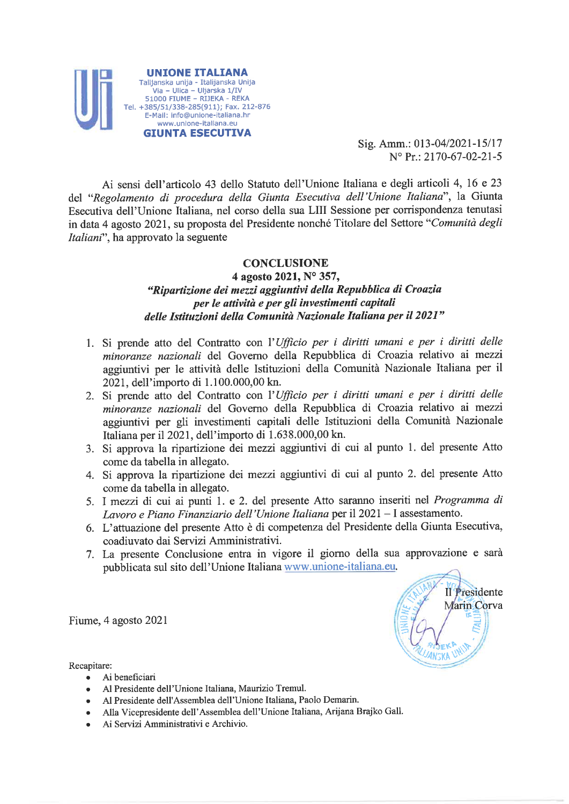

Sig. Amm.: 013-04/2021-15/17  $N^{\circ}$  Pr.: 2170-67-02-21-5

> Il Presidente Marin Corva

Ai sensi dell'articolo 43 dello Statuto dell'Unione Italiana e degli articoli 4, 16 e 23 del "Regolamento di procedura della Giunta Esecutiva dell'Unione Italiana", la Giunta Esecutiva dell'Unione Italiana, nel corso della sua LIII Sessione per corrispondenza tenutasi in data 4 agosto 2021, su proposta del Presidente nonché Titolare del Settore "Comunità degli *Italiani*", ha approvato la seguente

### **CONCLUSIONE**

## 4 agosto 2021, Nº 357, "Ripartizione dei mezzi aggiuntivi della Repubblica di Croazia per le attività e per gli investimenti capitali delle Istituzioni della Comunità Nazionale Italiana per il 2021"

- 1. Si prende atto del Contratto con l'Ufficio per i diritti umani e per i diritti delle minoranze nazionali del Governo della Repubblica di Croazia relativo ai mezzi aggiuntivi per le attività delle Istituzioni della Comunità Nazionale Italiana per il 2021. dell'importo di 1.100.000,00 kn.
- 2. Si prende atto del Contratto con l'Ufficio per i diritti umani e per i diritti delle minoranze nazionali del Governo della Repubblica di Croazia relativo ai mezzi aggiuntivi per gli investimenti capitali delle Istituzioni della Comunità Nazionale Italiana per il 2021, dell'importo di 1.638.000,00 kn.
- 3. Si approva la ripartizione dei mezzi aggiuntivi di cui al punto 1. del presente Atto come da tabella in allegato.
- 4. Si approva la ripartizione dei mezzi aggiuntivi di cui al punto 2. del presente Atto come da tabella in allegato.
- 5. I mezzi di cui ai punti 1. e 2. del presente Atto saranno inseriti nel Programma di Lavoro e Piano Finanziario dell'Unione Italiana per il 2021 – I assestamento.
- 6. L'attuazione del presente Atto è di competenza del Presidente della Giunta Esecutiva, coadiuvato dai Servizi Amministrativi.
- 7. La presente Conclusione entra in vigore il giorno della sua approvazione e sarà pubblicata sul sito dell'Unione Italiana www.unione-italiana.eu.

Fiume, 4 agosto 2021

Recapitare:

- Ai beneficiari
- Al Presidente dell'Unione Italiana, Maurizio Tremul.
- Al Presidente dell'Assemblea dell'Unione Italiana, Paolo Demarin.
- Alla Vicepresidente dell'Assemblea dell'Unione Italiana, Arijana Brajko Gall.
- Ai Servizi Amministrativi e Archivio.  $\bullet$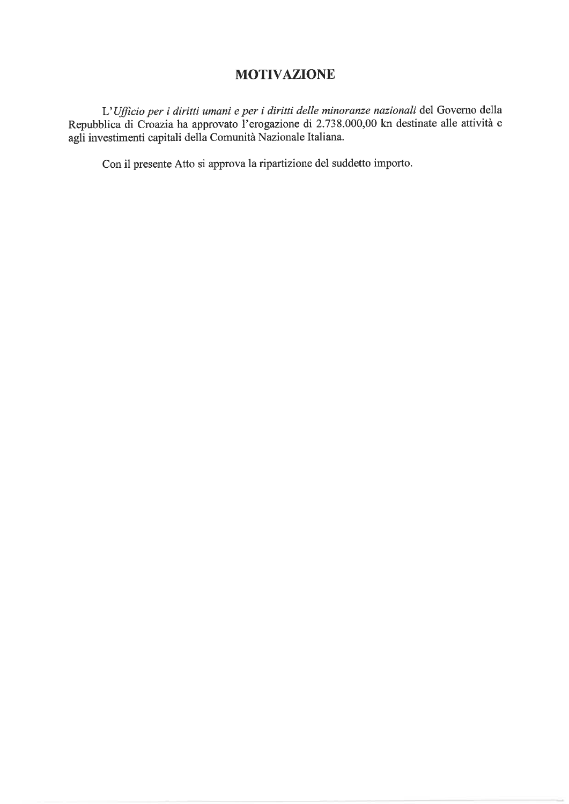# **MOTIVAZIONE**

L'Ufficio per i diritti umani e per i diritti delle minoranze nazionali del Governo della Repubblica di Croazia ha approvato l'erogazione di 2.738.000,00 kn destinate alle attività e agli investimenti capitali della Comunità Nazionale Italiana.

Con il presente Atto si approva la ripartizione del suddetto importo.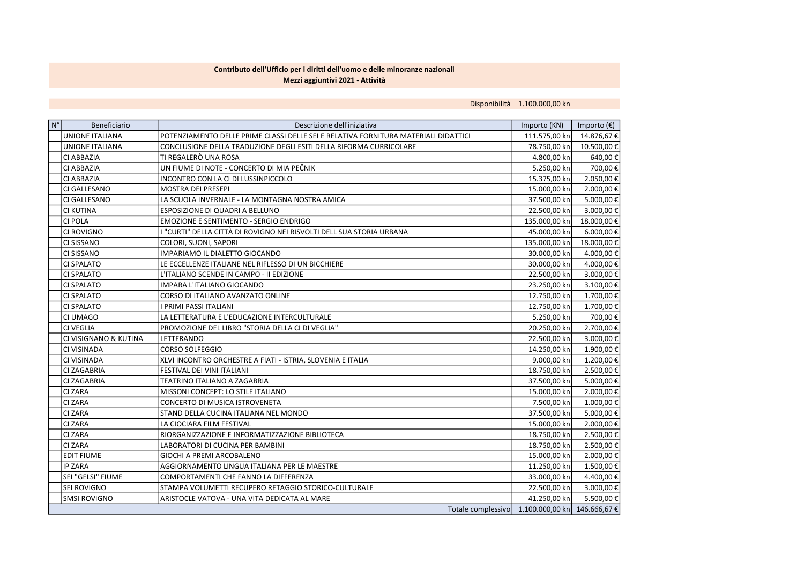#### Contributo dell'Ufficio per i diritti dell'uomo e delle minoranze nazionali Mezzi aggiuntivi 2021 - Attività

Disponibilità 1.100.000,00 kn

| $\vert N^{\circ} \vert$ | Beneficiario           | Descrizione dell'iniziativa                                                         | Importo (KN)  | Importo $(\epsilon)$ |
|-------------------------|------------------------|-------------------------------------------------------------------------------------|---------------|----------------------|
|                         | <b>UNIONE ITALIANA</b> | POTENZIAMENTO DELLE PRIME CLASSI DELLE SEI E RELATIVA FORNITURA MATERIALI DIDATTICI | 111.575,00 kn | 14.876,67€           |
|                         | <b>UNIONE ITALIANA</b> | CONCLUSIONE DELLA TRADUZIONE DEGLI ESITI DELLA RIFORMA CURRICOLARE                  | 78.750,00 kn  | 10.500,00€           |
|                         | CI ABBAZIA             | TI REGALERÒ UNA ROSA                                                                | 4.800,00 kn   | 640,00€              |
|                         | CI ABBAZIA             | UN FIUME DI NOTE - CONCERTO DI MIA PEČNIK                                           | 5.250,00 kn   | 700,00€              |
|                         | CI ABBAZIA             | INCONTRO CON LA CI DI LUSSINPICCOLO                                                 | 15.375,00 kn  | 2.050,00€            |
|                         | <b>CI GALLESANO</b>    | <b>MOSTRA DEI PRESEPI</b>                                                           | 15.000,00 kn  | 2.000,00€            |
|                         | CI GALLESANO           | LA SCUOLA INVERNALE - LA MONTAGNA NOSTRA AMICA                                      | 37.500,00 kn  | 5.000,00€            |
|                         | <b>CI KUTINA</b>       | ESPOSIZIONE DI QUADRI A BELLUNO                                                     | 22.500,00 kn  | 3.000,00€            |
|                         | <b>CI POLA</b>         | EMOZIONE E SENTIMENTO - SERGIO ENDRIGO                                              | 135.000,00 kn | 18.000,00€           |
|                         | <b>CI ROVIGNO</b>      | "CURTI" DELLA CITTÀ DI ROVIGNO NEI RISVOLTI DELL SUA STORIA URBANA                  | 45.000,00 kn  | 6.000,00€            |
|                         | <b>CI SISSANO</b>      | COLORI, SUONI, SAPORI                                                               | 135.000,00 kn | 18.000,00€           |
|                         | <b>CI SISSANO</b>      | IMPARIAMO IL DIALETTO GIOCANDO                                                      | 30.000,00 kn  | 4.000,00€            |
|                         | <b>CI SPALATO</b>      | LE ECCELLENZE ITALIANE NEL RIFLESSO DI UN BICCHIERE                                 | 30.000,00 kn  | 4.000,00€            |
|                         | <b>CI SPALATO</b>      | L'ITALIANO SCENDE IN CAMPO - II EDIZIONE                                            | 22.500,00 kn  | 3.000,00€            |
|                         | <b>CI SPALATO</b>      | IMPARA L'ITALIANO GIOCANDO                                                          | 23.250,00 kn  | 3.100,00€            |
|                         | <b>CI SPALATO</b>      | CORSO DI ITALIANO AVANZATO ONLINE                                                   | 12.750,00 kn  | 1.700,00€            |
|                         | <b>CI SPALATO</b>      | PRIMI PASSI ITALIANI                                                                | 12.750,00 kn  | 1.700,00€            |
|                         | CI UMAGO               | LA LETTERATURA E L'EDUCAZIONE INTERCULTURALE                                        | 5.250,00 kn   | 700,00€              |
|                         | <b>CI VEGLIA</b>       | PROMOZIONE DEL LIBRO "STORIA DELLA CI DI VEGLIA"                                    | 20.250,00 kn  | 2.700,00€            |
|                         | CI VISIGNANO & KUTINA  | LETTERANDO                                                                          | 22.500,00 kn  | 3.000,00€            |
|                         | CI VISINADA            | <b>CORSO SOLFEGGIO</b>                                                              | 14.250,00 kn  | 1.900,00€            |
|                         | <b>CI VISINADA</b>     | XLVI INCONTRO ORCHESTRE A FIATI - ISTRIA, SLOVENIA E ITALIA                         | 9.000,00 kn   | 1.200,00€            |
|                         | CI ZAGABRIA            | FESTIVAL DEI VINI ITALIANI                                                          | 18.750,00 kn  | 2.500,00€            |
|                         | CI ZAGABRIA            | TEATRINO ITALIANO A ZAGABRIA                                                        | 37.500,00 kn  | 5.000,00€            |
|                         | <b>CI ZARA</b>         | MISSONI CONCEPT: LO STILE ITALIANO                                                  | 15.000,00 kn  | 2.000,00€            |
|                         | <b>CI ZARA</b>         | CONCERTO DI MUSICA ISTROVENETA                                                      | 7.500,00 kn   | 1.000,00€            |
|                         | <b>CI ZARA</b>         | STAND DELLA CUCINA ITALIANA NEL MONDO                                               | 37.500,00 kn  | 5.000,00€            |
|                         | <b>CI ZARA</b>         | LA CIOCIARA FILM FESTIVAL                                                           | 15.000,00 kn  | 2.000,00€            |
|                         | <b>CI ZARA</b>         | RIORGANIZZAZIONE E INFORMATIZZAZIONE BIBLIOTECA                                     | 18.750,00 kn  | 2.500,00€            |
|                         | <b>CI ZARA</b>         | LABORATORI DI CUCINA PER BAMBINI                                                    | 18.750,00 kn  | 2.500,00€            |
|                         | <b>EDIT FIUME</b>      | GIOCHI A PREMI ARCOBALENO                                                           | 15.000,00 kn  | 2.000,00€            |
|                         | IP ZARA                | AGGIORNAMENTO LINGUA ITALIANA PER LE MAESTRE                                        | 11.250,00 kn  | 1.500,00€            |
|                         | SEI "GELSI" FIUME      | COMPORTAMENTI CHE FANNO LA DIFFERENZA                                               | 33.000,00 kn  | 4.400,00€            |
|                         | <b>SEI ROVIGNO</b>     | STAMPA VOLUMETTI RECUPERO RETAGGIO STORICO-CULTURALE                                | 22.500,00 kn  | 3.000,00€            |
|                         | Ismsi rovigno          | ARISTOCLE VATOVA - UNA VITA DEDICATA AL MARE                                        | 41.250,00 kn  | 5.500,00€            |
|                         |                        | Totale complessivo 1.100.000,00 kn 146.666,67 €                                     |               |                      |